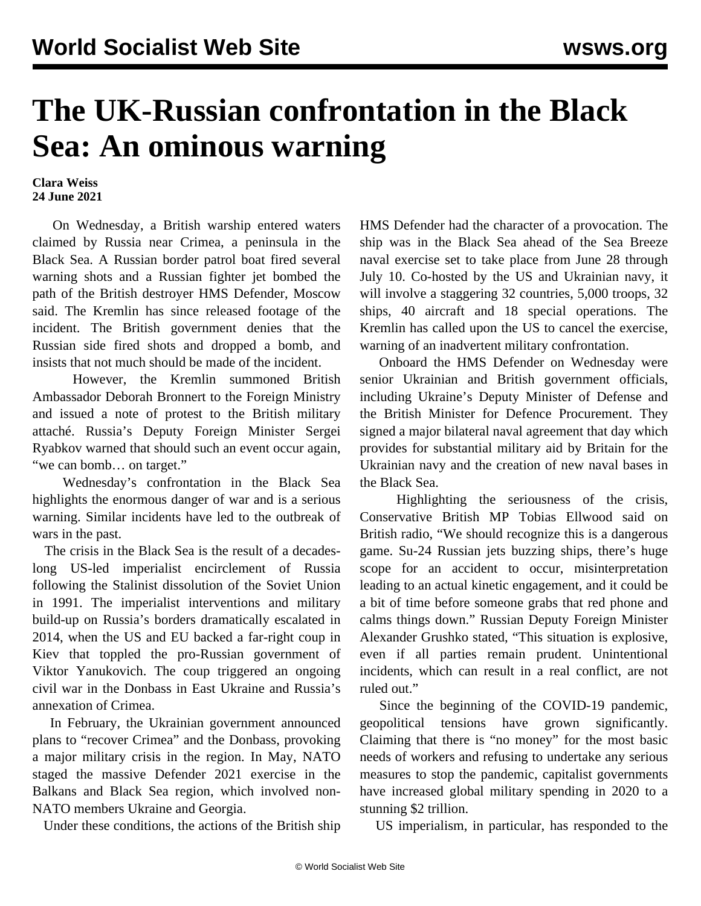## **The UK-Russian confrontation in the Black Sea: An ominous warning**

## **Clara Weiss 24 June 2021**

 On Wednesday, a British warship entered waters claimed by Russia near Crimea, a peninsula in the Black Sea. A Russian border patrol boat fired several warning shots and a Russian fighter jet bombed the path of the British destroyer HMS Defender, Moscow said. The Kremlin has since released [footage](https://www.youtube.com/watch?v=OfrwfJOWRnk) of the incident. The British government denies that the Russian side fired shots and dropped a bomb, and insists that not much should be made of the incident.

 However, the Kremlin summoned British Ambassador Deborah Bronnert to the Foreign Ministry and issued a note of protest to the British military attaché. Russia's Deputy Foreign Minister Sergei Ryabkov warned that should such an event occur again, "we can bomb… on target."

 Wednesday's confrontation in the Black Sea highlights the enormous danger of war and is a serious warning. Similar incidents have led to the outbreak of wars in the past.

 The crisis in the Black Sea is the result of a decadeslong US-led imperialist encirclement of Russia following the Stalinist dissolution of the Soviet Union in 1991. The imperialist interventions and military build-up on Russia's borders dramatically escalated in 2014, when the US and EU backed a far-right coup in Kiev that toppled the pro-Russian government of Viktor Yanukovich. The coup triggered an ongoing civil war in the Donbass in East Ukraine and Russia's annexation of Crimea.

 In February, the Ukrainian government announced [plans](/en/articles/2021/03/20/ukra-m20.html) to "recover Crimea" and the Donbass, provoking a major military crisis in the region. In May, NATO staged the massive [Defender 2021](/en/articles/2021/05/13/nato-m13.html) exercise in the Balkans and Black Sea region, which involved non-NATO members Ukraine and Georgia.

Under these conditions, the actions of the British ship

HMS Defender had the character of a provocation. The ship was in the Black Sea ahead of the Sea Breeze naval exercise set to take place from June 28 through July 10. Co-hosted by the US and Ukrainian navy, it will involve a staggering 32 countries, 5,000 troops, 32 ships, 40 aircraft and 18 special operations. The Kremlin has called upon the US to cancel the exercise, warning of an inadvertent military confrontation.

 Onboard the HMS Defender on Wednesday were senior Ukrainian and British government officials, including Ukraine's Deputy Minister of Defense and the British Minister for Defence Procurement. They signed a major bilateral naval agreement that day which provides for substantial military aid by Britain for the Ukrainian navy and the creation of new naval bases in the Black Sea.

 Highlighting the seriousness of the crisis, Conservative British MP Tobias Ellwood said on British radio, "We should recognize this is a dangerous game. Su-24 Russian jets buzzing ships, there's huge scope for an accident to occur, misinterpretation leading to an actual kinetic engagement, and it could be a bit of time before someone grabs that red phone and calms things down." Russian Deputy Foreign Minister Alexander Grushko stated, "This situation is explosive, even if all parties remain prudent. Unintentional incidents, which can result in a real conflict, are not ruled out."

 Since the beginning of the COVID-19 pandemic, geopolitical tensions have grown significantly. Claiming that there is "no money" for the most basic needs of workers and refusing to undertake any serious measures to stop the pandemic, capitalist governments have increased [global military spending](/en/articles/2021/04/27/sipi-a27.html) in 2020 to a stunning \$2 trillion.

US imperialism, in particular, has responded to the